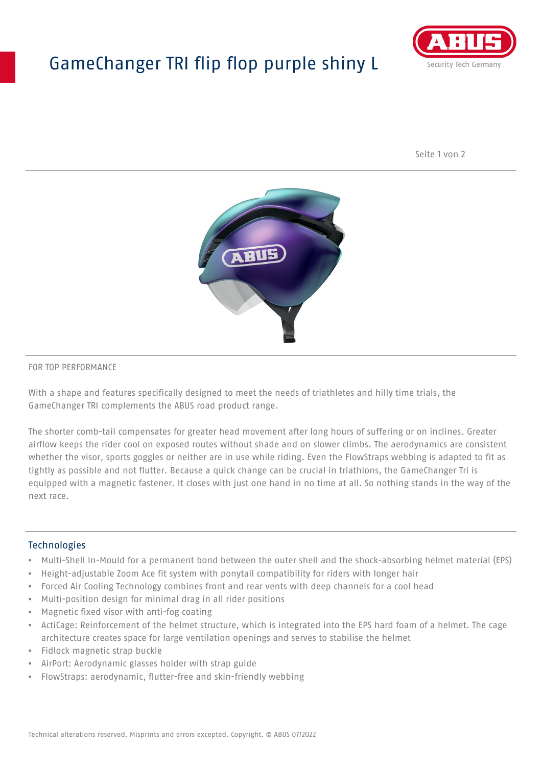# GameChanger TRI flip flop purple shiny L



Seite 1 von 2



#### FOR TOP PERFORMANCE

With a shape and features specifically designed to meet the needs of triathletes and hilly time trials, the GameChanger TRI complements the ABUS road product range.

The shorter comb-tail compensates for greater head movement after long hours of suffering or on inclines. Greater airflow keeps the rider cool on exposed routes without shade and on slower climbs. The aerodynamics are consistent whether the visor, sports goggles or neither are in use while riding. Even the FlowStraps webbing is adapted to fit as tightly as possible and not flutter. Because a quick change can be crucial in triathlons, the GameChanger Tri is equipped with a magnetic fastener. It closes with just one hand in no time at all. So nothing stands in the way of the next race.

#### **Technologies**

- Multi-Shell In-Mould for a permanent bond between the outer shell and the shock-absorbing helmet material (EPS)
- Height-adjustable Zoom Ace fit system with ponytail compatibility for riders with longer hair
- Forced Air Cooling Technology combines front and rear vents with deep channels for a cool head
- Multi-position design for minimal drag in all rider positions
- Magnetic fixed visor with anti-fog coating
- ActiCage: Reinforcement of the helmet structure, which is integrated into the EPS hard foam of a helmet. The cage architecture creates space for large ventilation openings and serves to stabilise the helmet
- Fidlock magnetic strap buckle
- AirPort: Aerodynamic glasses holder with strap guide
- FlowStraps: aerodynamic, flutter-free and skin-friendly webbing